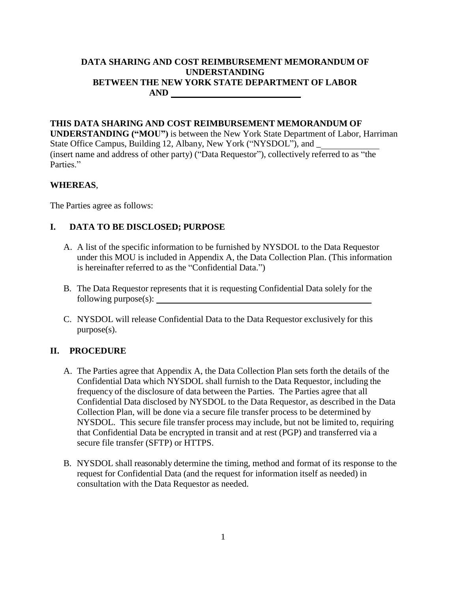## **DATA SHARING AND COST REIMBURSEMENT MEMORANDUM OF UNDERSTANDING BETWEEN THE NEW YORK STATE DEPARTMENT OF LABOR AND**

#### **THIS DATA SHARING AND COST REIMBURSEMENT MEMORANDUM OF**

**UNDERSTANDING ("MOU")** is between the New York State Department of Labor, Harriman State Office Campus, Building 12, Albany, New York ("NYSDOL"), and \_ (insert name and address of other party) ("Data Requestor"), collectively referred to as "the Parties<sup>"</sup>

#### **WHEREAS**,

The Parties agree as follows:

#### **I. DATA TO BE DISCLOSED; PURPOSE**

- A. A list of the specific information to be furnished by NYSDOL to the Data Requestor under this MOU is included in Appendix A, the Data Collection Plan. (This information is hereinafter referred to as the "Confidential Data.")
- B. The Data Requestor represents that it is requesting Confidential Data solely for the following purpose(s):
- C. NYSDOL will release Confidential Data to the Data Requestor exclusively for this purpose(s).

#### **II. PROCEDURE**

- A. The Parties agree that Appendix A, the Data Collection Plan sets forth the details of the Confidential Data which NYSDOL shall furnish to the Data Requestor, including the frequency of the disclosure of data between the Parties. The Parties agree that all Confidential Data disclosed by NYSDOL to the Data Requestor, as described in the Data Collection Plan, will be done via a secure file transfer process to be determined by NYSDOL. This secure file transfer process may include, but not be limited to, requiring that Confidential Data be encrypted in transit and at rest (PGP) and transferred via a secure file transfer (SFTP) or HTTPS.
- B. NYSDOL shall reasonably determine the timing, method and format of its response to the request for Confidential Data (and the request for information itself as needed) in consultation with the Data Requestor as needed.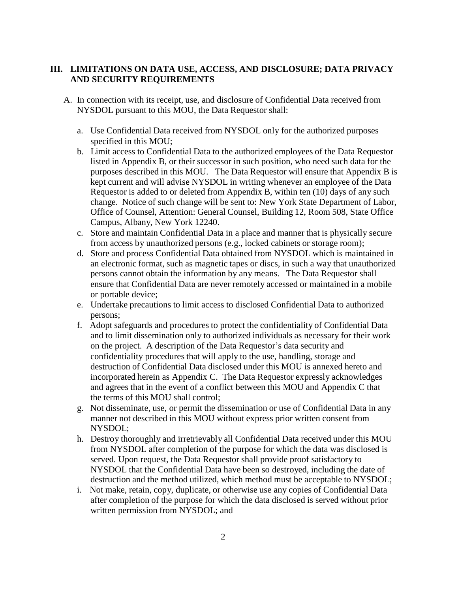#### **III. LIMITATIONS ON DATA USE, ACCESS, AND DISCLOSURE; DATA PRIVACY AND SECURITY REQUIREMENTS**

- A. In connection with its receipt, use, and disclosure of Confidential Data received from NYSDOL pursuant to this MOU, the Data Requestor shall:
	- a. Use Confidential Data received from NYSDOL only for the authorized purposes specified in this MOU;
	- b. Limit access to Confidential Data to the authorized employees of the Data Requestor listed in Appendix B, or their successor in such position, who need such data for the purposes described in this MOU. The Data Requestor will ensure that Appendix B is kept current and will advise NYSDOL in writing whenever an employee of the Data Requestor is added to or deleted from Appendix B, within ten (10) days of any such change. Notice of such change will be sent to: New York State Department of Labor, Office of Counsel, Attention: General Counsel, Building 12, Room 508, State Office Campus, Albany, New York 12240.
	- c. Store and maintain Confidential Data in a place and manner that is physically secure from access by unauthorized persons (e.g., locked cabinets or storage room);
	- d. Store and process Confidential Data obtained from NYSDOL which is maintained in an electronic format, such as magnetic tapes or discs, in such a way that unauthorized persons cannot obtain the information by any means. The Data Requestor shall ensure that Confidential Data are never remotely accessed or maintained in a mobile or portable device;
	- e. Undertake precautions to limit access to disclosed Confidential Data to authorized persons;
	- f. Adopt safeguards and procedures to protect the confidentiality of Confidential Data and to limit dissemination only to authorized individuals as necessary for their work on the project. A description of the Data Requestor's data security and confidentiality procedures that will apply to the use, handling, storage and destruction of Confidential Data disclosed under this MOU is annexed hereto and incorporated herein as Appendix C. The Data Requestor expressly acknowledges and agrees that in the event of a conflict between this MOU and Appendix C that the terms of this MOU shall control;
	- g. Not disseminate, use, or permit the dissemination or use of Confidential Data in any manner not described in this MOU without express prior written consent from NYSDOL;
	- h. Destroy thoroughly and irretrievably all Confidential Data received under this MOU from NYSDOL after completion of the purpose for which the data was disclosed is served. Upon request, the Data Requestor shall provide proof satisfactory to NYSDOL that the Confidential Data have been so destroyed, including the date of destruction and the method utilized, which method must be acceptable to NYSDOL;
	- i. Not make, retain, copy, duplicate, or otherwise use any copies of Confidential Data after completion of the purpose for which the data disclosed is served without prior written permission from NYSDOL; and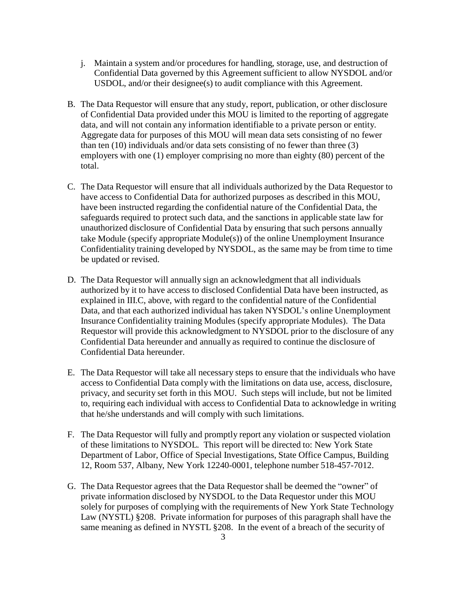- j. Maintain a system and/or procedures for handling, storage, use, and destruction of Confidential Data governed by this Agreement sufficient to allow NYSDOL and/or USDOL, and/or their designee(s) to audit compliance with this Agreement.
- B. The Data Requestor will ensure that any study, report, publication, or other disclosure of Confidential Data provided under this MOU is limited to the reporting of aggregate data, and will not contain any information identifiable to a private person or entity. Aggregate data for purposes of this MOU will mean data sets consisting of no fewer than ten (10) individuals and/or data sets consisting of no fewer than three (3) employers with one (1) employer comprising no more than eighty (80) percent of the total.
- C. The Data Requestor will ensure that all individuals authorized by the Data Requestor to have access to Confidential Data for authorized purposes as described in this MOU, have been instructed regarding the confidential nature of the Confidential Data, the safeguards required to protect such data, and the sanctions in applicable state law for unauthorized disclosure of Confidential Data by ensuring that such persons annually take Module (specify appropriate Module(s)) of the online Unemployment Insurance Confidentiality training developed by NYSDOL, as the same may be from time to time be updated or revised.
- D. The Data Requestor will annually sign an acknowledgment that all individuals authorized by it to have access to disclosed Confidential Data have been instructed, as explained in III.C, above, with regard to the confidential nature of the Confidential Data, and that each authorized individual has taken NYSDOL's online Unemployment Insurance Confidentiality training Modules (specify appropriate Modules). The Data Requestor will provide this acknowledgment to NYSDOL prior to the disclosure of any Confidential Data hereunder and annually as required to continue the disclosure of Confidential Data hereunder.
- E. The Data Requestor will take all necessary steps to ensure that the individuals who have access to Confidential Data comply with the limitations on data use, access, disclosure, privacy, and security set forth in this MOU. Such steps will include, but not be limited to, requiring each individual with access to Confidential Data to acknowledge in writing that he/she understands and will comply with such limitations.
- F. The Data Requestor will fully and promptly report any violation or suspected violation of these limitations to NYSDOL. This report will be directed to: New York State Department of Labor, Office of Special Investigations, State Office Campus, Building 12, Room 537, Albany, New York 12240-0001, telephone number 518-457-7012.
- G. The Data Requestor agrees that the Data Requestor shall be deemed the "owner" of private information disclosed by NYSDOL to the Data Requestor under this MOU solely for purposes of complying with the requirements of New York State Technology Law (NYSTL) §208. Private information for purposes of this paragraph shall have the same meaning as defined in NYSTL §208. In the event of a breach of the security of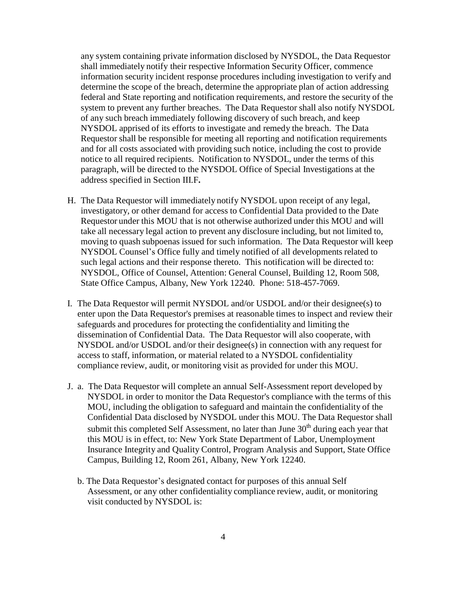any system containing private information disclosed by NYSDOL, the Data Requestor shall immediately notify their respective Information Security Officer, commence information security incident response procedures including investigation to verify and determine the scope of the breach, determine the appropriate plan of action addressing federal and State reporting and notification requirements, and restore the security of the system to prevent any further breaches. The Data Requestor shall also notify NYSDOL of any such breach immediately following discovery of such breach, and keep NYSDOL apprised of its efforts to investigate and remedy the breach. The Data Requestor shall be responsible for meeting all reporting and notification requirements and for all costs associated with providing such notice, including the cost to provide notice to all required recipients. Notification to NYSDOL, under the terms of this paragraph, will be directed to the NYSDOL Office of Special Investigations at the address specified in Section III.F**.**

- H. The Data Requestor will immediately notify NYSDOL upon receipt of any legal, investigatory, or other demand for access to Confidential Data provided to the Date Requestor under this MOU that is not otherwise authorized under this MOU and will take all necessary legal action to prevent any disclosure including, but not limited to, moving to quash subpoenas issued for such information. The Data Requestor will keep NYSDOL Counsel's Office fully and timely notified of all developments related to such legal actions and their response thereto. This notification will be directed to: NYSDOL, Office of Counsel, Attention: General Counsel, Building 12, Room 508, State Office Campus, Albany, New York 12240. Phone: 518-457-7069.
- I. The Data Requestor will permit NYSDOL and/or USDOL and/or their designee(s) to enter upon the Data Requestor's premises at reasonable times to inspect and review their safeguards and procedures for protecting the confidentiality and limiting the dissemination of Confidential Data. The Data Requestor will also cooperate, with NYSDOL and/or USDOL and/or their designee(s) in connection with any request for access to staff, information, or material related to a NYSDOL confidentiality compliance review, audit, or monitoring visit as provided for under this MOU.
- J. a. The Data Requestor will complete an annual Self-Assessment report developed by NYSDOL in order to monitor the Data Requestor's compliance with the terms of this MOU, including the obligation to safeguard and maintain the confidentiality of the Confidential Data disclosed by NYSDOL under this MOU. The Data Requestor shall submit this completed Self Assessment, no later than June  $30<sup>th</sup>$  during each year that this MOU is in effect, to: New York State Department of Labor, Unemployment Insurance Integrity and Quality Control, Program Analysis and Support, State Office Campus, Building 12, Room 261, Albany, New York 12240.
	- b. The Data Requestor's designated contact for purposes of this annual Self Assessment, or any other confidentiality compliance review, audit, or monitoring visit conducted by NYSDOL is: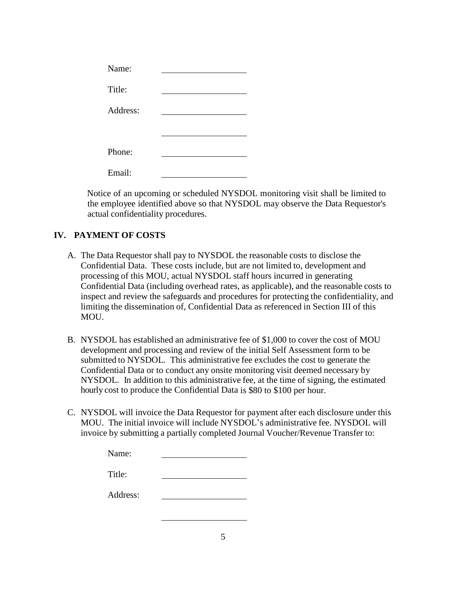| Name:    |  |
|----------|--|
| Title:   |  |
| Address: |  |
|          |  |
| Phone:   |  |
| Email:   |  |

Notice of an upcoming or scheduled NYSDOL monitoring visit shall be limited to the employee identified above so that NYSDOL may observe the Data Requestor's actual confidentiality procedures.

## **IV. PAYMENT OF COSTS**

- A. The Data Requestor shall pay to NYSDOL the reasonable costs to disclose the Confidential Data. These costs include, but are not limited to, development and processing of this MOU, actual NYSDOL staff hours incurred in generating Confidential Data (including overhead rates, as applicable), and the reasonable costs to inspect and review the safeguards and procedures for protecting the confidentiality, and limiting the dissemination of, Confidential Data as referenced in Section III of this MOU.
- B. NYSDOL has established an administrative fee of \$1,000 to cover the cost of MOU development and processing and review of the initial Self Assessment form to be submitted to NYSDOL. This administrative fee excludes the cost to generate the Confidential Data or to conduct any onsite monitoring visit deemed necessary by NYSDOL. In addition to this administrative fee, at the time of signing, the estimated hourly cost to produce the Confidential Data is \$80 to \$100 per hour.
- C. NYSDOL will invoice the Data Requestor for payment after each disclosure under this MOU. The initial invoice will include NYSDOL's administrative fee. NYSDOL will invoice by submitting a partially completed Journal Voucher/Revenue Transfer to:

| Name:    |  |
|----------|--|
| Title:   |  |
| Address: |  |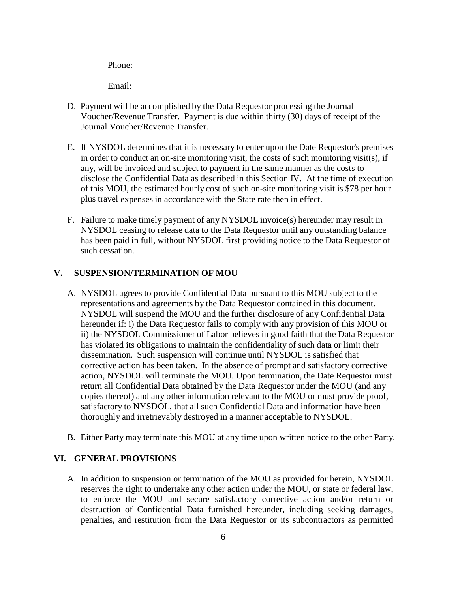Phone: Email:

- D. Payment will be accomplished by the Data Requestor processing the Journal Voucher/Revenue Transfer. Payment is due within thirty (30) days of receipt of the Journal Voucher/Revenue Transfer.
- E. If NYSDOL determines that it is necessary to enter upon the Date Requestor's premises in order to conduct an on-site monitoring visit, the costs of such monitoring visit(s), if any, will be invoiced and subject to payment in the same manner as the costs to disclose the Confidential Data as described in this Section IV. At the time of execution of this MOU, the estimated hourly cost of such on-site monitoring visit is \$78 per hour plus travel expenses in accordance with the State rate then in effect.
- F. Failure to make timely payment of any NYSDOL invoice(s) hereunder may result in NYSDOL ceasing to release data to the Data Requestor until any outstanding balance has been paid in full, without NYSDOL first providing notice to the Data Requestor of such cessation.

#### **V. SUSPENSION/TERMINATION OF MOU**

- A. NYSDOL agrees to provide Confidential Data pursuant to this MOU subject to the representations and agreements by the Data Requestor contained in this document. NYSDOL will suspend the MOU and the further disclosure of any Confidential Data hereunder if: i) the Data Requestor fails to comply with any provision of this MOU or ii) the NYSDOL Commissioner of Labor believes in good faith that the Data Requestor has violated its obligations to maintain the confidentiality of such data or limit their dissemination. Such suspension will continue until NYSDOL is satisfied that corrective action has been taken. In the absence of prompt and satisfactory corrective action, NYSDOL will terminate the MOU. Upon termination, the Date Requestor must return all Confidential Data obtained by the Data Requestor under the MOU (and any copies thereof) and any other information relevant to the MOU or must provide proof, satisfactory to NYSDOL, that all such Confidential Data and information have been thoroughly and irretrievably destroyed in a manner acceptable to NYSDOL.
- B. Either Party may terminate this MOU at any time upon written notice to the other Party.

#### **VI. GENERAL PROVISIONS**

A. In addition to suspension or termination of the MOU as provided for herein, NYSDOL reserves the right to undertake any other action under the MOU, or state or federal law, to enforce the MOU and secure satisfactory corrective action and/or return or destruction of Confidential Data furnished hereunder, including seeking damages, penalties, and restitution from the Data Requestor or its subcontractors as permitted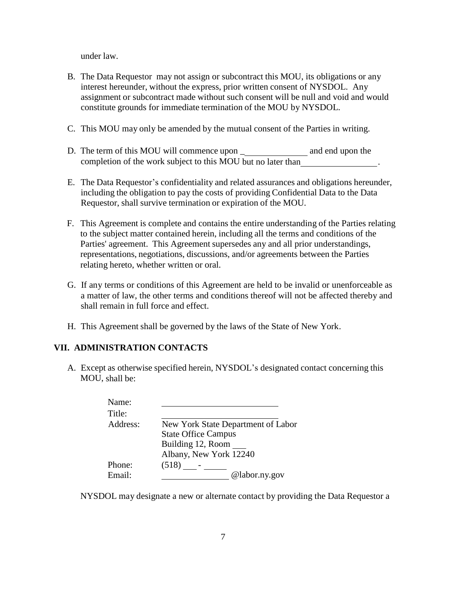under law.

- B. The Data Requestor may not assign or subcontract this MOU, its obligations or any interest hereunder, without the express, prior written consent of NYSDOL. Any assignment or subcontract made without such consent will be null and void and would constitute grounds for immediate termination of the MOU by NYSDOL.
- C. This MOU may only be amended by the mutual consent of the Parties in writing.
- D. The term of this MOU will commence upon \_ and end upon the completion of the work subject to this MOU but no later than .
- E. The Data Requestor's confidentiality and related assurances and obligations hereunder, including the obligation to pay the costs of providing Confidential Data to the Data Requestor, shall survive termination or expiration of the MOU.
- F. This Agreement is complete and contains the entire understanding of the Parties relating to the subject matter contained herein, including all the terms and conditions of the Parties' agreement. This Agreement supersedes any and all prior understandings, representations, negotiations, discussions, and/or agreements between the Parties relating hereto, whether written or oral.
- G. If any terms or conditions of this Agreement are held to be invalid or unenforceable as a matter of law, the other terms and conditions thereof will not be affected thereby and shall remain in full force and effect.
- H. This Agreement shall be governed by the laws of the State of New York.

#### **VII. ADMINISTRATION CONTACTS**

A. Except as otherwise specified herein, NYSDOL's designated contact concerning this MOU, shall be:

| Name:    |                                    |
|----------|------------------------------------|
| Title:   |                                    |
| Address: | New York State Department of Labor |
|          | <b>State Office Campus</b>         |
|          | Building 12, Room                  |
|          | Albany, New York 12240             |
| Phone:   | (518)                              |
| Email:   | @labor.ny.gov                      |
|          |                                    |

NYSDOL may designate a new or alternate contact by providing the Data Requestor a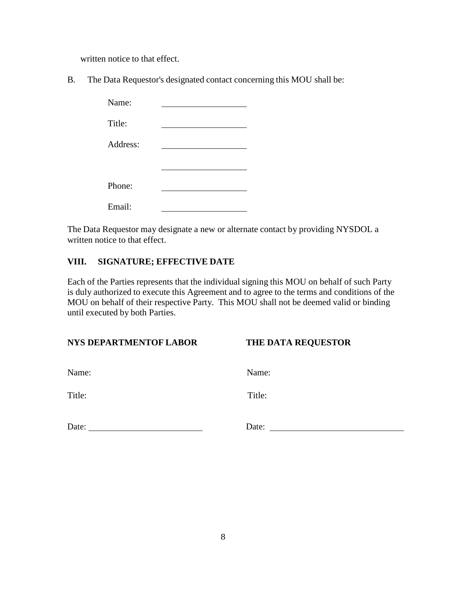written notice to that effect.

B. The Data Requestor's designated contact concerning this MOU shall be:

| Name:    |  |
|----------|--|
| Title:   |  |
| Address: |  |
|          |  |
| Phone:   |  |
| Email:   |  |

The Data Requestor may designate a new or alternate contact by providing NYSDOL a written notice to that effect.

## **VIII. SIGNATURE; EFFECTIVE DATE**

Each of the Parties represents that the individual signing this MOU on behalf of such Party is duly authorized to execute this Agreement and to agree to the terms and conditions of the MOU on behalf of their respective Party. This MOU shall not be deemed valid or binding until executed by both Parties.

| <b>NYS DEPARTMENTOF LABOR</b><br>THE DATA REQUESTOR |
|-----------------------------------------------------|
|-----------------------------------------------------|

| Name |
|------|
|      |

Name: Name:

Title: Title:

| Date: |  |
|-------|--|
|       |  |

Date: 2008. External parameters and parameters are not all the set of the set of the set of the set of the set of the set of the set of the set of the set of the set of the set of the set of the set of the set of the set o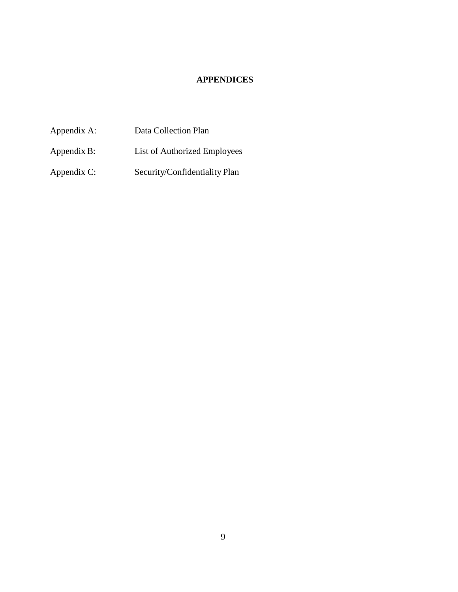# **APPENDICES**

Appendix A: Data Collection Plan Appendix B: List of Authorized Employees

Appendix C: Security/Confidentiality Plan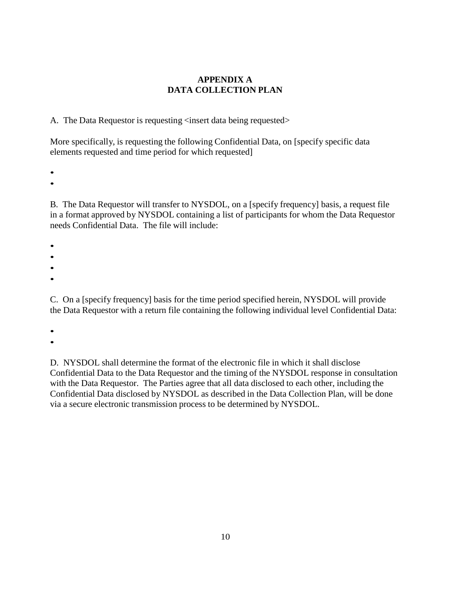## **APPENDIX A DATA COLLECTION PLAN**

A. The Data Requestor is requesting  $\langle$  insert data being requested>

More specifically, is requesting the following Confidential Data, on [specify specific data elements requested and time period for which requested]

•

•

B. The Data Requestor will transfer to NYSDOL, on a [specify frequency] basis, a request file in a format approved by NYSDOL containing a list of participants for whom the Data Requestor needs Confidential Data. The file will include:

•

•

•

•

C. On a [specify frequency] basis for the time period specified herein, NYSDOL will provide the Data Requestor with a return file containing the following individual level Confidential Data:

•

•

D. NYSDOL shall determine the format of the electronic file in which it shall disclose Confidential Data to the Data Requestor and the timing of the NYSDOL response in consultation with the Data Requestor. The Parties agree that all data disclosed to each other, including the Confidential Data disclosed by NYSDOL as described in the Data Collection Plan, will be done via a secure electronic transmission process to be determined by NYSDOL.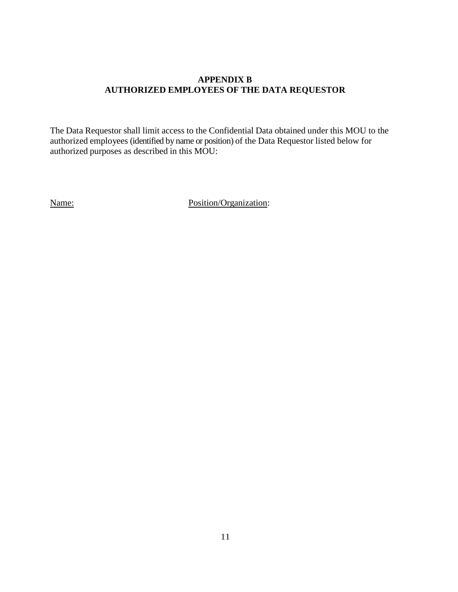#### **APPENDIX B AUTHORIZED EMPLOYEES OF THE DATA REQUESTOR**

The Data Requestor shall limit access to the Confidential Data obtained under this MOU to the authorized employees (identified by name or position) of the Data Requestor listed below for authorized purposes as described in this MOU:

Name: Position/Organization: